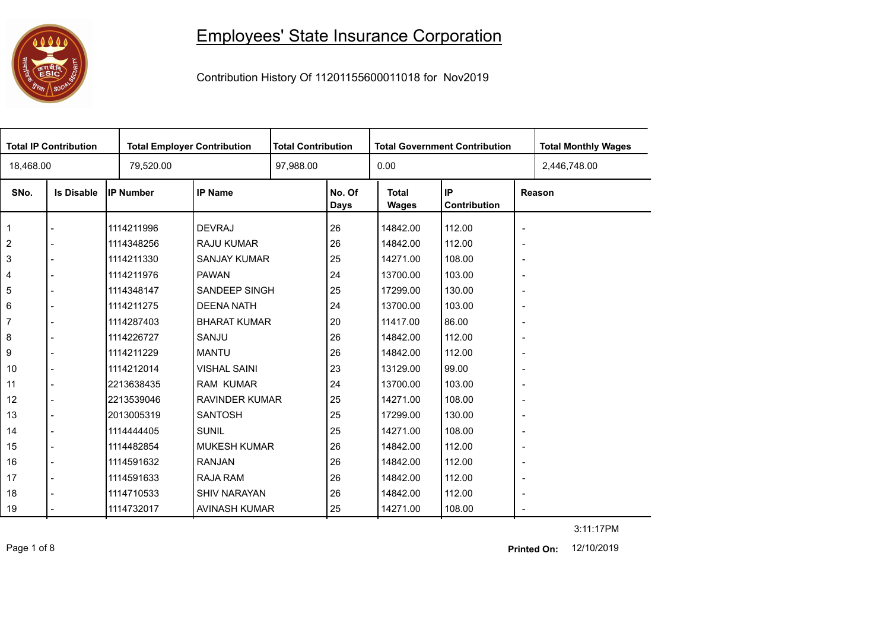## 

## Employees' State Insurance Corporation

Contribution History Of 11201155600011018 for Nov2019

| <b>Total IP Contribution</b> |                   |                  | <b>Total Employer Contribution</b> |  | <b>Total Contribution</b> |                              | <b>Total Government Contribution</b> | <b>Total Monthly Wages</b> |              |
|------------------------------|-------------------|------------------|------------------------------------|--|---------------------------|------------------------------|--------------------------------------|----------------------------|--------------|
| 18,468.00                    |                   | 79,520.00        |                                    |  |                           | 0.00                         |                                      |                            | 2,446,748.00 |
| SNo.                         | <b>Is Disable</b> | <b>IP Number</b> | <b>IP Name</b>                     |  | No. Of<br>Days            | <b>Total</b><br><b>Wages</b> | IP<br>Contribution                   |                            | Reason       |
| $\mathbf{1}$                 |                   | 1114211996       | <b>DEVRAJ</b>                      |  | 26                        | 14842.00                     | 112.00                               | $\overline{\phantom{a}}$   |              |
| 2                            |                   | 1114348256       | <b>RAJU KUMAR</b>                  |  | 26                        | 14842.00                     | 112.00                               | $\overline{\phantom{a}}$   |              |
| $\mathsf 3$                  |                   | 1114211330       | SANJAY KUMAR                       |  | 25                        | 14271.00                     | 108.00                               | $\overline{\phantom{a}}$   |              |
| $\overline{4}$               |                   | 1114211976       | <b>PAWAN</b>                       |  | 24                        | 13700.00                     | 103.00                               | $\overline{\phantom{a}}$   |              |
| 5                            |                   | 1114348147       | <b>SANDEEP SINGH</b>               |  | 25                        | 17299.00                     | 130.00                               | $\overline{\phantom{a}}$   |              |
| 6                            |                   | 1114211275       | <b>DEENA NATH</b>                  |  | 24                        | 13700.00                     | 103.00                               | $\blacksquare$             |              |
| $\overline{7}$               |                   | 1114287403       | <b>BHARAT KUMAR</b>                |  | 20                        | 11417.00                     | 86.00                                | $\overline{\phantom{a}}$   |              |
| 8                            |                   | 1114226727       | SANJU                              |  | 26                        | 14842.00                     | 112.00                               | $\overline{\phantom{a}}$   |              |
| 9                            |                   | 1114211229       | <b>MANTU</b>                       |  | 26                        | 14842.00                     | 112.00                               | $\blacksquare$             |              |
| 10                           |                   | 1114212014       | <b>VISHAL SAINI</b>                |  | 23                        | 13129.00                     | 99.00                                | $\blacksquare$             |              |
| 11                           |                   | 2213638435       | <b>RAM KUMAR</b>                   |  | 24                        | 13700.00                     | 103.00                               | $\overline{\phantom{a}}$   |              |
| 12                           |                   | 2213539046       | <b>RAVINDER KUMAR</b>              |  | 25                        | 14271.00                     | 108.00                               | $\overline{\phantom{a}}$   |              |
| 13                           |                   | 2013005319       | <b>SANTOSH</b>                     |  | 25                        | 17299.00                     | 130.00                               | $\blacksquare$             |              |
| 14                           |                   | 1114444405       | <b>SUNIL</b>                       |  | 25                        | 14271.00                     | 108.00                               | $\overline{\phantom{a}}$   |              |
| 15                           |                   | 1114482854       | <b>MUKESH KUMAR</b>                |  | 26                        | 14842.00                     | 112.00                               | $\blacksquare$             |              |
| 16                           |                   | 1114591632       | <b>RANJAN</b>                      |  | 26                        | 14842.00                     | 112.00                               | $\blacksquare$             |              |
| 17                           |                   | 1114591633       | RAJA RAM                           |  | 26                        | 14842.00                     | 112.00                               | $\overline{\phantom{a}}$   |              |
| 18                           |                   | 1114710533       | <b>SHIV NARAYAN</b>                |  | 26                        | 14842.00                     | 112.00                               | $\overline{\phantom{a}}$   |              |
| 19                           |                   | 1114732017       | AVINASH KUMAR                      |  | 25                        | 14271.00                     | 108.00                               | $\overline{\phantom{a}}$   |              |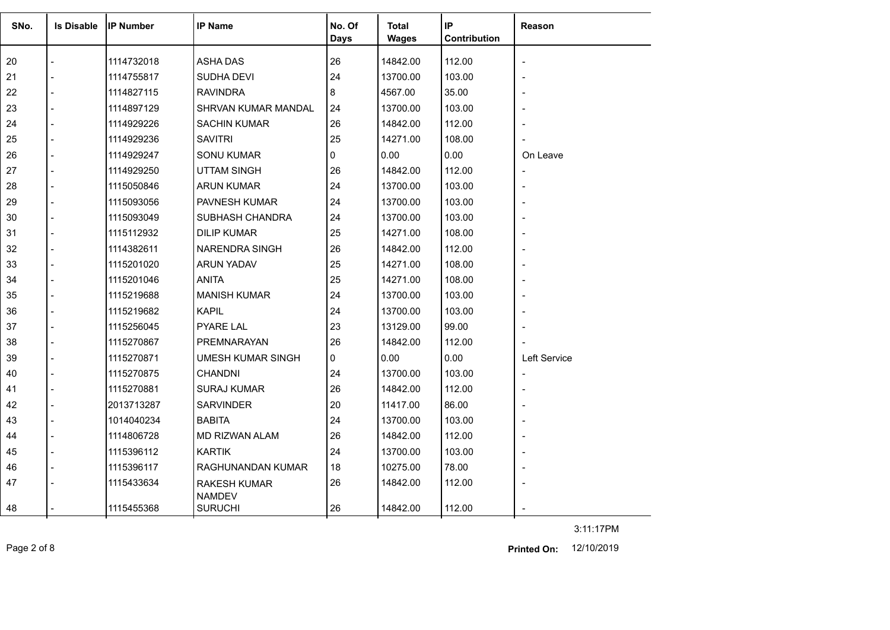| SNo. | <b>Is Disable</b> | <b>IP Number</b> | <b>IP Name</b>                  | No. Of      | Total        | IP           | <b>Reason</b>            |
|------|-------------------|------------------|---------------------------------|-------------|--------------|--------------|--------------------------|
|      |                   |                  |                                 | <b>Days</b> | <b>Wages</b> | Contribution |                          |
| 20   |                   | 1114732018       | <b>ASHA DAS</b>                 | 26          | 14842.00     | 112.00       | $\overline{\phantom{a}}$ |
| 21   |                   | 1114755817       | SUDHA DEVI                      | 24          | 13700.00     | 103.00       |                          |
| 22   |                   | 1114827115       | <b>RAVINDRA</b>                 | 8           | 4567.00      | 35.00        |                          |
| 23   |                   | 1114897129       | <b>SHRVAN KUMAR MANDAL</b>      | 24          | 13700.00     | 103.00       |                          |
| 24   |                   | 1114929226       | <b>SACHIN KUMAR</b>             | 26          | 14842.00     | 112.00       |                          |
| 25   |                   | 1114929236       | <b>SAVITRI</b>                  | 25          | 14271.00     | 108.00       |                          |
| 26   |                   | 1114929247       | <b>SONU KUMAR</b>               | $\Omega$    | 0.00         | 0.00         | On Leave                 |
| 27   |                   | 1114929250       | <b>UTTAM SINGH</b>              | 26          | 14842.00     | 112.00       | $\overline{a}$           |
| 28   |                   | 1115050846       | ARUN KUMAR                      | 24          | 13700.00     | 103.00       |                          |
| 29   |                   | 1115093056       | <b>PAVNESH KUMAR</b>            | 24          | 13700.00     | 103.00       |                          |
| 30   |                   | 1115093049       | SUBHASH CHANDRA                 | 24          | 13700.00     | 103.00       |                          |
| 31   |                   | 1115112932       | <b>DILIP KUMAR</b>              | 25          | 14271.00     | 108.00       |                          |
| 32   |                   | 1114382611       | <b>NARENDRA SINGH</b>           | 26          | 14842.00     | 112.00       |                          |
| 33   |                   | 1115201020       | <b>ARUN YADAV</b>               | 25          | 14271.00     | 108.00       |                          |
| 34   |                   | 1115201046       | <b>ANITA</b>                    | 25          | 14271.00     | 108.00       |                          |
| 35   |                   | 1115219688       | <b>MANISH KUMAR</b>             | 24          | 13700.00     | 103.00       |                          |
| 36   |                   | 1115219682       | <b>KAPIL</b>                    | 24          | 13700.00     | 103.00       |                          |
| 37   |                   | 1115256045       | PYARE LAL                       | 23          | 13129.00     | 99.00        |                          |
| 38   |                   | 1115270867       | PREMNARAYAN                     | 26          | 14842.00     | 112.00       |                          |
| 39   |                   | 1115270871       | <b>UMESH KUMAR SINGH</b>        | 0           | 0.00         | 0.00         | <b>Left Service</b>      |
| 40   |                   | 1115270875       | <b>CHANDNI</b>                  | 24          | 13700.00     | 103.00       | $\blacksquare$           |
| 41   |                   | 1115270881       | SURAJ KUMAR                     | 26          | 14842.00     | 112.00       |                          |
| 42   |                   | 2013713287       | <b>SARVINDER</b>                | 20          | 11417.00     | 86.00        |                          |
| 43   |                   | 1014040234       | <b>BABITA</b>                   | 24          | 13700.00     | 103.00       |                          |
| 44   | $\overline{a}$    | 1114806728       | MD RIZWAN ALAM                  | 26          | 14842.00     | 112.00       |                          |
| 45   |                   | 1115396112       | <b>KARTIK</b>                   | 24          | 13700.00     | 103.00       | $\overline{\phantom{a}}$ |
| 46   |                   | 1115396117       | RAGHUNANDAN KUMAR               | 18          | 10275.00     | 78.00        |                          |
| 47   |                   | 1115433634       | RAKESH KUMAR                    | 26          | 14842.00     | 112.00       |                          |
| 48   |                   | 1115455368       | <b>NAMDEV</b><br><b>SURUCHI</b> | 26          | 14842.00     | 112.00       |                          |

Page 2 of 8 12/10/2019 **Printed On:**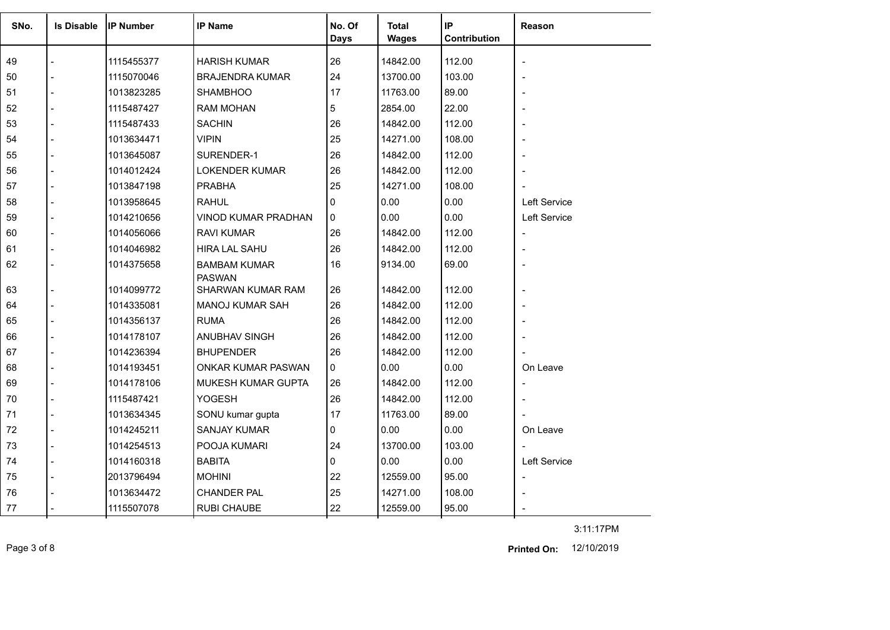| SNo. | <b>Is Disable</b> | <b>IIP Number</b> | <b>IP Name</b>                       | No. Of<br><b>Days</b> | <b>Total</b><br><b>Wages</b> | IP<br>Contribution | <b>Reason</b> |
|------|-------------------|-------------------|--------------------------------------|-----------------------|------------------------------|--------------------|---------------|
|      |                   |                   |                                      |                       |                              |                    |               |
| 49   |                   | 1115455377        | <b>HARISH KUMAR</b>                  | 26                    | 14842.00                     | 112.00             |               |
| 50   |                   | 1115070046        | <b>BRAJENDRA KUMAR</b>               | 24                    | 13700.00                     | 103.00             |               |
| 51   |                   | 1013823285        | <b>SHAMBHOO</b>                      | 17                    | 11763.00                     | 89.00              |               |
| 52   |                   | 1115487427        | <b>RAM MOHAN</b>                     | 5                     | 2854.00                      | 22.00              |               |
| 53   |                   | 1115487433        | <b>SACHIN</b>                        | 26                    | 14842.00                     | 112.00             |               |
| 54   |                   | 1013634471        | <b>VIPIN</b>                         | 25                    | 14271.00                     | 108.00             |               |
| 55   |                   | 1013645087        | SURENDER-1                           | 26                    | 14842.00                     | 112.00             |               |
| 56   |                   | 1014012424        | <b>LOKENDER KUMAR</b>                | 26                    | 14842.00                     | 112.00             |               |
| 57   |                   | 1013847198        | <b>PRABHA</b>                        | 25                    | 14271.00                     | 108.00             |               |
| 58   |                   | 1013958645        | <b>RAHUL</b>                         | 0                     | 0.00                         | 0.00               | Left Service  |
| 59   |                   | 1014210656        | VINOD KUMAR PRADHAN                  | 0                     | 0.00                         | 0.00               | Left Service  |
| 60   |                   | 1014056066        | <b>RAVI KUMAR</b>                    | 26                    | 14842.00                     | 112.00             |               |
| 61   |                   | 1014046982        | <b>HIRA LAL SAHU</b>                 | 26                    | 14842.00                     | 112.00             |               |
| 62   |                   | 1014375658        | <b>BAMBAM KUMAR</b><br><b>PASWAN</b> | 16                    | 9134.00                      | 69.00              |               |
| 63   |                   | 1014099772        | SHARWAN KUMAR RAM                    | 26                    | 14842.00                     | 112.00             |               |
| 64   |                   | 1014335081        | MANOJ KUMAR SAH                      | 26                    | 14842.00                     | 112.00             |               |
| 65   |                   | 1014356137        | <b>RUMA</b>                          | 26                    | 14842.00                     | 112.00             |               |
| 66   |                   | 1014178107        | ANUBHAV SINGH                        | 26                    | 14842.00                     | 112.00             |               |
| 67   |                   | 1014236394        | <b>BHUPENDER</b>                     | 26                    | 14842.00                     | 112.00             |               |
| 68   |                   | 1014193451        | <b>ONKAR KUMAR PASWAN</b>            | 0                     | 0.00                         | 0.00               | On Leave      |
| 69   |                   | 1014178106        | <b>MUKESH KUMAR GUPTA</b>            | 26                    | 14842.00                     | 112.00             |               |
| 70   |                   | 1115487421        | YOGESH                               | 26                    | 14842.00                     | 112.00             |               |
| 71   |                   | 1013634345        | SONU kumar gupta                     | 17                    | 11763.00                     | 89.00              |               |
| 72   |                   | 1014245211        | <b>SANJAY KUMAR</b>                  | 0                     | 0.00                         | 0.00               | On Leave      |
| 73   |                   | 1014254513        | POOJA KUMARI                         | 24                    | 13700.00                     | 103.00             |               |
| 74   |                   | 1014160318        | <b>BABITA</b>                        | 0                     | 0.00                         | 0.00               | Left Service  |
| 75   |                   | 2013796494        | <b>MOHINI</b>                        | 22                    | 12559.00                     | 95.00              |               |
| 76   |                   | 1013634472        | <b>CHANDER PAL</b>                   | 25                    | 14271.00                     | 108.00             |               |
| 77   |                   | 1115507078        | <b>RUBI CHAUBE</b>                   | 22                    | 12559.00                     | 95.00              |               |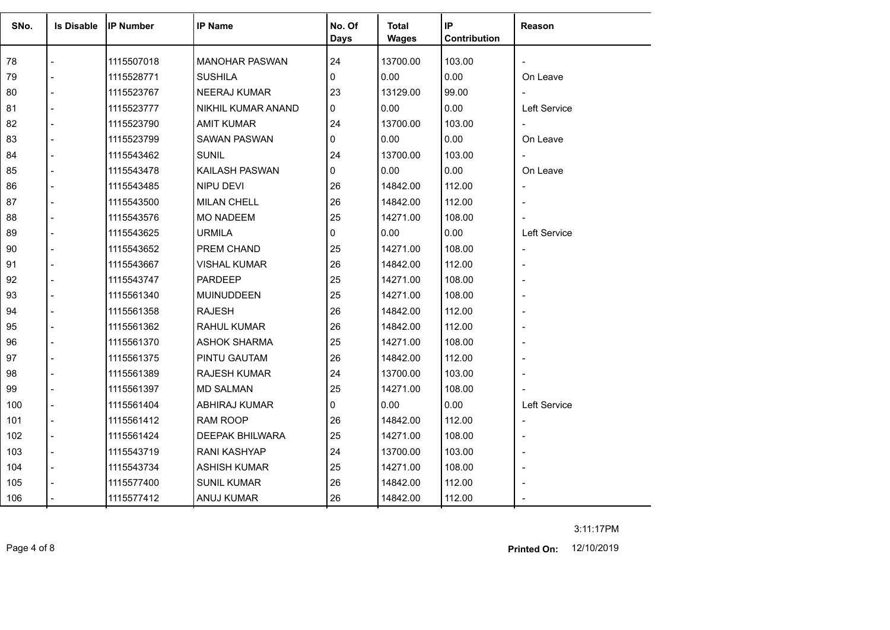| SNo. | <b>Is Disable</b> | IIP Number | <b>IP Name</b>            | No. Of<br><b>Days</b> | <b>Total</b><br><b>Wages</b> | IP<br>Contribution | Reason                   |
|------|-------------------|------------|---------------------------|-----------------------|------------------------------|--------------------|--------------------------|
| 78   |                   | 1115507018 | <b>MANOHAR PASWAN</b>     | 24                    | 13700.00                     | 103.00             |                          |
| 79   |                   | 1115528771 | <b>SUSHILA</b>            | 0                     | 0.00                         | 0.00               | On Leave                 |
| 80   |                   | 1115523767 | <b>NEERAJ KUMAR</b>       | 23                    | 13129.00                     | 99.00              |                          |
| 81   |                   | 1115523777 | <b>NIKHIL KUMAR ANAND</b> | $\Omega$              | 0.00                         | 0.00               | Left Service             |
| 82   |                   | 1115523790 | <b>AMIT KUMAR</b>         | 24                    | 13700.00                     | 103.00             |                          |
| 83   |                   | 1115523799 | SAWAN PASWAN              | $\Omega$              | 0.00                         | 0.00               | On Leave                 |
| 84   |                   | 1115543462 | <b>SUNIL</b>              | 24                    | 13700.00                     | 103.00             |                          |
| 85   |                   | 1115543478 | KAILASH PASWAN            | $\overline{0}$        | 0.00                         | 0.00               | On Leave                 |
| 86   |                   | 1115543485 | NIPU DEVI                 | 26                    | 14842.00                     | 112.00             | $\overline{\phantom{a}}$ |
| 87   |                   | 1115543500 | <b>MILAN CHELL</b>        | 26                    | 14842.00                     | 112.00             |                          |
| 88   |                   | 1115543576 | <b>MO NADEEM</b>          | 25                    | 14271.00                     | 108.00             |                          |
| 89   |                   | 1115543625 | <b>URMILA</b>             | $\mathbf{0}$          | 0.00                         | 0.00               | Left Service             |
| 90   |                   | 1115543652 | PREM CHAND                | 25                    | 14271.00                     | 108.00             |                          |
| 91   |                   | 1115543667 | <b>VISHAL KUMAR</b>       | 26                    | 14842.00                     | 112.00             |                          |
| 92   |                   | 1115543747 | <b>PARDEEP</b>            | 25                    | 14271.00                     | 108.00             |                          |
| 93   |                   | 1115561340 | <b>MUINUDDEEN</b>         | 25                    | 14271.00                     | 108.00             |                          |
| 94   |                   | 1115561358 | <b>RAJESH</b>             | 26                    | 14842.00                     | 112.00             |                          |
| 95   |                   | 1115561362 | <b>RAHUL KUMAR</b>        | 26                    | 14842.00                     | 112.00             |                          |
| 96   |                   | 1115561370 | <b>ASHOK SHARMA</b>       | 25                    | 14271.00                     | 108.00             |                          |
| 97   |                   | 1115561375 | <b>PINTU GAUTAM</b>       | 26                    | 14842.00                     | 112.00             |                          |
| 98   |                   | 1115561389 | <b>RAJESH KUMAR</b>       | 24                    | 13700.00                     | 103.00             |                          |
| 99   |                   | 1115561397 | <b>MD SALMAN</b>          | 25                    | 14271.00                     | 108.00             |                          |
| 100  |                   | 1115561404 | ABHIRAJ KUMAR             | 0                     | 0.00                         | 0.00               | Left Service             |
| 101  |                   | 1115561412 | RAM ROOP                  | 26                    | 14842.00                     | 112.00             | $\overline{\phantom{a}}$ |
| 102  |                   | 1115561424 | <b>DEEPAK BHILWARA</b>    | 25                    | 14271.00                     | 108.00             |                          |
| 103  |                   | 1115543719 | <b>RANI KASHYAP</b>       | 24                    | 13700.00                     | 103.00             |                          |
| 104  |                   | 1115543734 | <b>ASHISH KUMAR</b>       | 25                    | 14271.00                     | 108.00             |                          |
| 105  |                   | 1115577400 | <b>SUNIL KUMAR</b>        | 26                    | 14842.00                     | 112.00             |                          |
| 106  |                   | 1115577412 | ANUJ KUMAR                | 26                    | 14842.00                     | 112.00             |                          |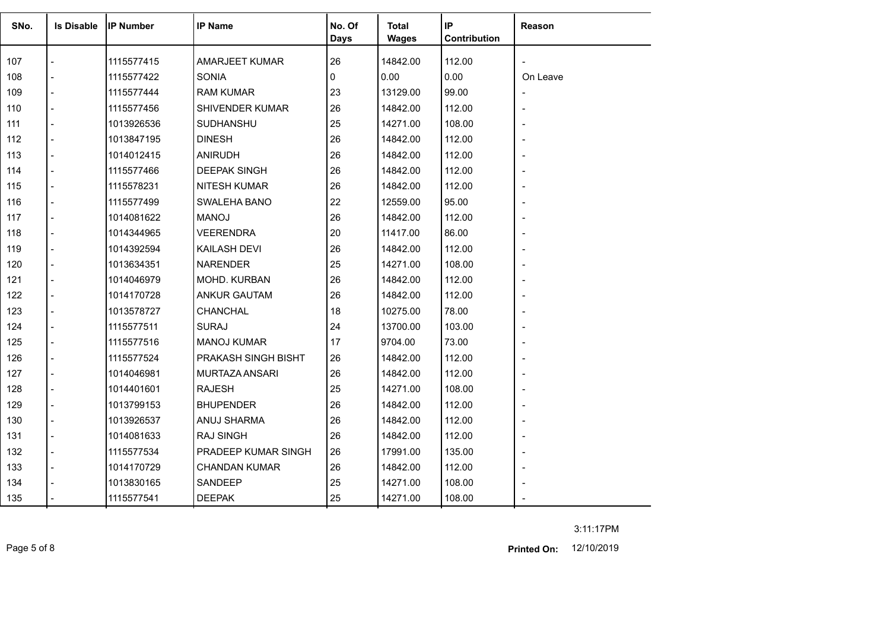| SNo. | <b>Is Disable</b> | <b>IP Number</b> | <b>IP Name</b>       | No. Of<br><b>Days</b> | <b>Total</b><br><b>Wages</b> | IP<br>Contribution | Reason         |
|------|-------------------|------------------|----------------------|-----------------------|------------------------------|--------------------|----------------|
| 107  |                   | 1115577415       | AMARJEET KUMAR       | 26                    | 14842.00                     | 112.00             |                |
| 108  |                   | 1115577422       | <b>SONIA</b>         | 0                     | 0.00                         | 0.00               | On Leave       |
| 109  | $\overline{a}$    | 1115577444       | <b>RAM KUMAR</b>     | 23                    | 13129.00                     | 99.00              | $\blacksquare$ |
| 110  |                   | 1115577456       | SHIVENDER KUMAR      | 26                    | 14842.00                     | 112.00             |                |
| 111  | $\blacksquare$    | 1013926536       | SUDHANSHU            | 25                    | 14271.00                     | 108.00             |                |
| 112  | $\blacksquare$    | 1013847195       | <b>DINESH</b>        | 26                    | 14842.00                     | 112.00             |                |
| 113  |                   | 1014012415       | <b>ANIRUDH</b>       | 26                    | 14842.00                     | 112.00             |                |
| 114  | $\blacksquare$    | 1115577466       | <b>DEEPAK SINGH</b>  | 26                    | 14842.00                     | 112.00             |                |
| 115  | $\blacksquare$    | 1115578231       | <b>NITESH KUMAR</b>  | 26                    | 14842.00                     | 112.00             |                |
| 116  |                   | 1115577499       | SWALEHA BANO         | 22                    | 12559.00                     | 95.00              |                |
| 117  |                   | 1014081622       | <b>MANOJ</b>         | 26                    | 14842.00                     | 112.00             |                |
| 118  |                   | 1014344965       | <b>VEERENDRA</b>     | 20                    | 11417.00                     | 86.00              |                |
| 119  |                   | 1014392594       | <b>KAILASH DEVI</b>  | 26                    | 14842.00                     | 112.00             |                |
| 120  |                   | 1013634351       | <b>NARENDER</b>      | 25                    | 14271.00                     | 108.00             |                |
| 121  | $\blacksquare$    | 1014046979       | MOHD. KURBAN         | 26                    | 14842.00                     | 112.00             |                |
| 122  |                   | 1014170728       | <b>ANKUR GAUTAM</b>  | 26                    | 14842.00                     | 112.00             |                |
| 123  |                   | 1013578727       | CHANCHAL             | 18                    | 10275.00                     | 78.00              |                |
| 124  |                   | 1115577511       | <b>SURAJ</b>         | 24                    | 13700.00                     | 103.00             |                |
| 125  |                   | 1115577516       | <b>MANOJ KUMAR</b>   | 17                    | 9704.00                      | 73.00              |                |
| 126  |                   | 1115577524       | PRAKASH SINGH BISHT  | 26                    | 14842.00                     | 112.00             |                |
| 127  |                   | 1014046981       | MURTAZA ANSARI       | 26                    | 14842.00                     | 112.00             |                |
| 128  |                   | 1014401601       | <b>RAJESH</b>        | 25                    | 14271.00                     | 108.00             |                |
| 129  |                   | 1013799153       | <b>BHUPENDER</b>     | 26                    | 14842.00                     | 112.00             |                |
| 130  |                   | 1013926537       | ANUJ SHARMA          | 26                    | 14842.00                     | 112.00             |                |
| 131  | $\blacksquare$    | 1014081633       | <b>RAJ SINGH</b>     | 26                    | 14842.00                     | 112.00             |                |
| 132  | $\overline{a}$    | 1115577534       | PRADEEP KUMAR SINGH  | 26                    | 17991.00                     | 135.00             | $\blacksquare$ |
| 133  |                   | 1014170729       | <b>CHANDAN KUMAR</b> | 26                    | 14842.00                     | 112.00             |                |
| 134  |                   | 1013830165       | SANDEEP              | 25                    | 14271.00                     | 108.00             |                |
| 135  |                   | 1115577541       | <b>DEEPAK</b>        | 25                    | 14271.00                     | 108.00             |                |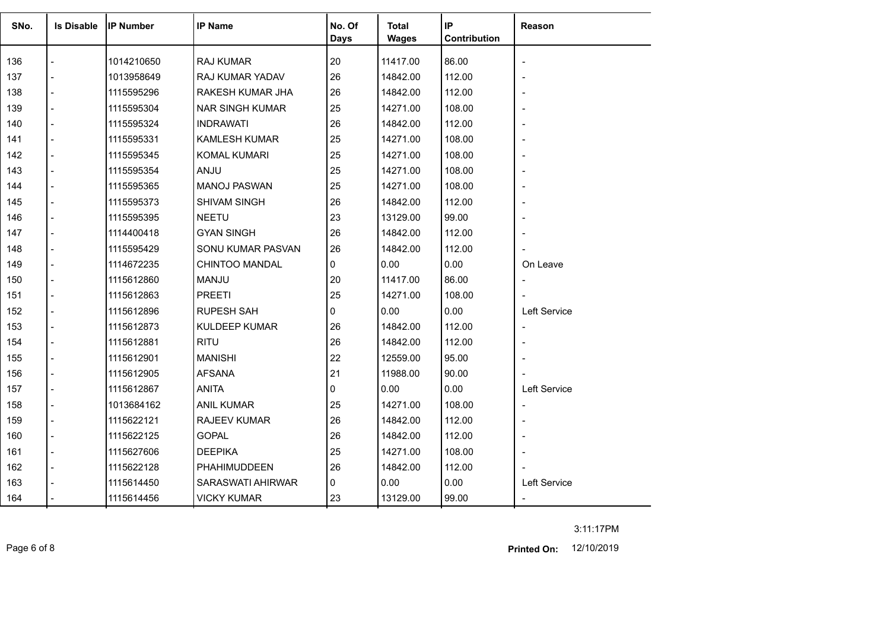|      |                   |                  |                        |                |                       | IP           |                          |
|------|-------------------|------------------|------------------------|----------------|-----------------------|--------------|--------------------------|
| SNo. | <b>Is Disable</b> | <b>IP Number</b> | <b>IP Name</b>         | No. Of<br>Days | <b>Total</b><br>Wages | Contribution | Reason                   |
|      |                   |                  |                        |                |                       |              |                          |
| 136  |                   | 1014210650       | RAJ KUMAR              | 20             | 11417.00              | 86.00        | $\overline{\phantom{a}}$ |
| 137  |                   | 1013958649       | RAJ KUMAR YADAV        | 26             | 14842.00              | 112.00       | $\overline{\phantom{a}}$ |
| 138  |                   | 1115595296       | RAKESH KUMAR JHA       | 26             | 14842.00              | 112.00       | $\overline{\phantom{a}}$ |
| 139  |                   | 1115595304       | <b>NAR SINGH KUMAR</b> | 25             | 14271.00              | 108.00       | $\overline{\phantom{a}}$ |
| 140  |                   | 1115595324       | <b>INDRAWATI</b>       | 26             | 14842.00              | 112.00       | $\overline{\phantom{a}}$ |
| 141  |                   | 1115595331       | <b>KAMLESH KUMAR</b>   | 25             | 14271.00              | 108.00       | $\overline{\phantom{a}}$ |
| 142  |                   | 1115595345       | <b>KOMAL KUMARI</b>    | 25             | 14271.00              | 108.00       | $\overline{\phantom{a}}$ |
| 143  |                   | 1115595354       | <b>ANJU</b>            | 25             | 14271.00              | 108.00       | $\overline{\phantom{a}}$ |
| 144  |                   | 1115595365       | <b>MANOJ PASWAN</b>    | 25             | 14271.00              | 108.00       | $\overline{\phantom{a}}$ |
| 145  |                   | 1115595373       | <b>SHIVAM SINGH</b>    | 26             | 14842.00              | 112.00       | $\overline{\phantom{a}}$ |
| 146  |                   | 1115595395       | <b>NEETU</b>           | 23             | 13129.00              | 99.00        | $\overline{\phantom{a}}$ |
| 147  |                   | 1114400418       | <b>GYAN SINGH</b>      | 26             | 14842.00              | 112.00       |                          |
| 148  |                   | 1115595429       | SONU KUMAR PASVAN      | 26             | 14842.00              | 112.00       |                          |
| 149  |                   | 1114672235       | CHINTOO MANDAL         | $\Omega$       | 0.00                  | 0.00         | On Leave                 |
| 150  |                   | 1115612860       | MANJU                  | 20             | 11417.00              | 86.00        |                          |
| 151  |                   | 1115612863       | <b>PREETI</b>          | 25             | 14271.00              | 108.00       |                          |
| 152  |                   | 1115612896       | RUPESH SAH             | $\Omega$       | 0.00                  | 0.00         | Left Service             |
| 153  |                   | 1115612873       | <b>KULDEEP KUMAR</b>   | 26             | 14842.00              | 112.00       | $\overline{\phantom{a}}$ |
| 154  |                   | 1115612881       | <b>RITU</b>            | 26             | 14842.00              | 112.00       | $\overline{\phantom{a}}$ |
| 155  |                   | 1115612901       | <b>MANISHI</b>         | 22             | 12559.00              | 95.00        |                          |
| 156  |                   | 1115612905       | <b>AFSANA</b>          | 21             | 11988.00              | 90.00        |                          |
| 157  |                   | 1115612867       | <b>ANITA</b>           | $\Omega$       | 0.00                  | 0.00         | Left Service             |
| 158  |                   | 1013684162       | <b>ANIL KUMAR</b>      | 25             | 14271.00              | 108.00       | $\overline{\phantom{a}}$ |
| 159  |                   | 1115622121       | <b>RAJEEV KUMAR</b>    | 26             | 14842.00              | 112.00       | $\overline{\phantom{a}}$ |
| 160  |                   | 1115622125       | <b>GOPAL</b>           | 26             | 14842.00              | 112.00       | $\blacksquare$           |
| 161  |                   | 1115627606       | <b>DEEPIKA</b>         | 25             | 14271.00              | 108.00       |                          |
| 162  |                   | 1115622128       | PHAHIMUDDEEN           | 26             | 14842.00              | 112.00       |                          |
| 163  |                   | 1115614450       | SARASWATI AHIRWAR      | $\Omega$       | 0.00                  | 0.00         | Left Service             |
| 164  |                   | 1115614456       | <b>VICKY KUMAR</b>     | 23             | 13129.00              | 99.00        | $\blacksquare$           |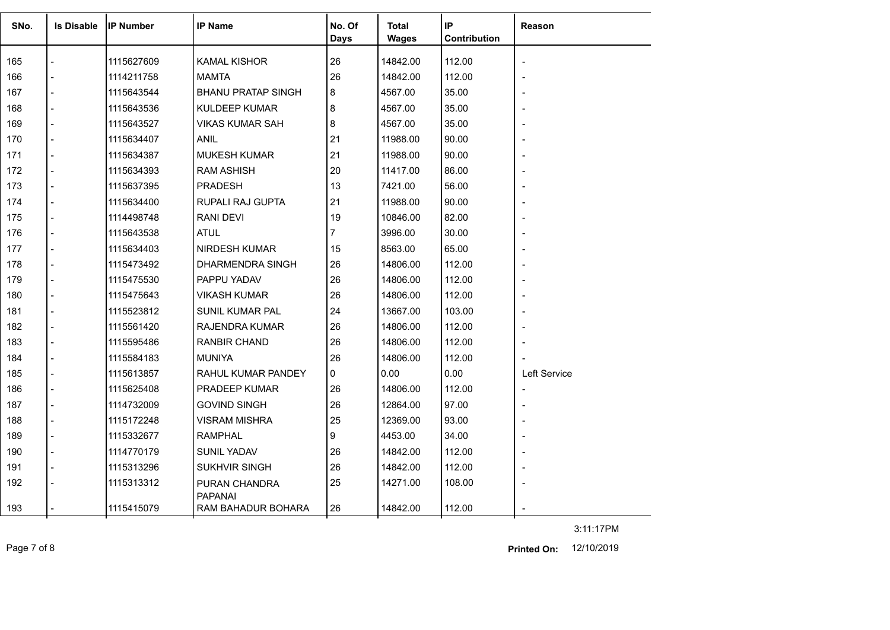| SNo. | <b>Is Disable</b> | <b>IIP Number</b> | <b>IP Name</b>                       | No. Of      | <b>Total</b> | IP           | Reason                   |
|------|-------------------|-------------------|--------------------------------------|-------------|--------------|--------------|--------------------------|
|      |                   |                   |                                      | <b>Days</b> | <b>Wages</b> | Contribution |                          |
| 165  |                   | 1115627609        | <b>KAMAL KISHOR</b>                  | 26          | 14842.00     | 112.00       | $\overline{\phantom{a}}$ |
| 166  |                   | 1114211758        | MAMTA                                | 26          | 14842.00     | 112.00       |                          |
| 167  |                   | 1115643544        | <b>BHANU PRATAP SINGH</b>            | 8           | 4567.00      | 35.00        | $\overline{a}$           |
| 168  |                   | 1115643536        | <b>KULDEEP KUMAR</b>                 | 8           | 4567.00      | 35.00        | $\overline{\phantom{a}}$ |
| 169  |                   | 1115643527        | VIKAS KUMAR SAH                      | 8           | 4567.00      | 35.00        |                          |
| 170  |                   | 1115634407        | ANIL                                 | 21          | 11988.00     | 90.00        | $\overline{\phantom{0}}$ |
| 171  |                   | 1115634387        | <b>MUKESH KUMAR</b>                  | 21          | 11988.00     | 90.00        | $\overline{a}$           |
| 172  |                   | 1115634393        | <b>RAM ASHISH</b>                    | 20          | 11417.00     | 86.00        |                          |
| 173  |                   | 1115637395        | PRADESH                              | 13          | 7421.00      | 56.00        | $\overline{a}$           |
| 174  |                   | 1115634400        | RUPALI RAJ GUPTA                     | 21          | 11988.00     | 90.00        | $\overline{\phantom{0}}$ |
| 175  |                   | 1114498748        | <b>RANI DEVI</b>                     | 19          | 10846.00     | 82.00        | $\overline{\phantom{0}}$ |
| 176  |                   | 1115643538        | <b>ATUL</b>                          | 7           | 3996.00      | 30.00        |                          |
| 177  |                   | 1115634403        | <b>NIRDESH KUMAR</b>                 | 15          | 8563.00      | 65.00        |                          |
| 178  |                   | 1115473492        | DHARMENDRA SINGH                     | 26          | 14806.00     | 112.00       | $\overline{\phantom{0}}$ |
| 179  |                   | 1115475530        | PAPPU YADAV                          | 26          | 14806.00     | 112.00       |                          |
| 180  |                   | 1115475643        | <b>VIKASH KUMAR</b>                  | 26          | 14806.00     | 112.00       | $\overline{a}$           |
| 181  |                   | 1115523812        | <b>SUNIL KUMAR PAL</b>               | 24          | 13667.00     | 103.00       | $\overline{\phantom{0}}$ |
| 182  |                   | 1115561420        | RAJENDRA KUMAR                       | 26          | 14806.00     | 112.00       |                          |
| 183  |                   | 1115595486        | RANBIR CHAND                         | 26          | 14806.00     | 112.00       | $\overline{\phantom{0}}$ |
| 184  |                   | 1115584183        | <b>MUNIYA</b>                        | 26          | 14806.00     | 112.00       |                          |
| 185  |                   | 1115613857        | RAHUL KUMAR PANDEY                   | 0           | 0.00         | 0.00         | Left Service             |
| 186  |                   | 1115625408        | <b>PRADEEP KUMAR</b>                 | 26          | 14806.00     | 112.00       | $\overline{\phantom{a}}$ |
| 187  |                   | 1114732009        | <b>GOVIND SINGH</b>                  | 26          | 12864.00     | 97.00        | $\overline{a}$           |
| 188  |                   | 1115172248        | <b>VISRAM MISHRA</b>                 | 25          | 12369.00     | 93.00        | $\overline{a}$           |
| 189  |                   | 1115332677        | <b>RAMPHAL</b>                       | 9           | 4453.00      | 34.00        |                          |
| 190  |                   | 1114770179        | SUNIL YADAV                          | 26          | 14842.00     | 112.00       | $\overline{\phantom{0}}$ |
| 191  |                   | 1115313296        | <b>SUKHVIR SINGH</b>                 | 26          | 14842.00     | 112.00       | $\overline{a}$           |
| 192  |                   | 1115313312        | PURAN CHANDRA                        | 25          | 14271.00     | 108.00       |                          |
| 193  |                   | 1115415079        | <b>PAPANAI</b><br>RAM BAHADUR BOHARA | 26          | 14842.00     | 112.00       |                          |